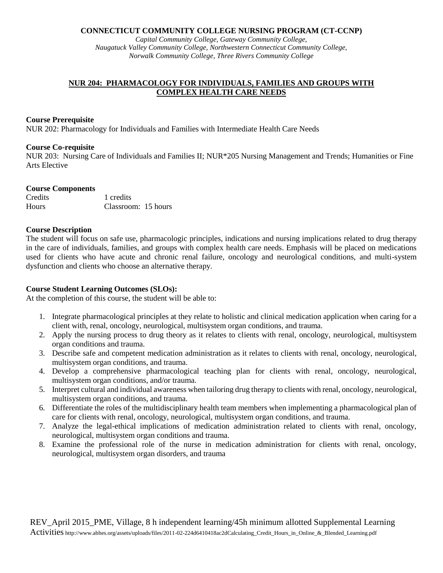#### **CONNECTICUT COMMUNITY COLLEGE NURSING PROGRAM (CT-CCNP)**

*Capital Community College, Gateway Community College, Naugatuck Valley Community College, Northwestern Connecticut Community College, Norwalk Community College, Three Rivers Community College*

# **NUR 204: PHARMACOLOGY FOR INDIVIDUALS, FAMILIES AND GROUPS WITH COMPLEX HEALTH CARE NEEDS**

#### **Course Prerequisite**

NUR 202: Pharmacology for Individuals and Families with Intermediate Health Care Needs

### **Course Co-requisite**

NUR 203: Nursing Care of Individuals and Families II; NUR\*205 Nursing Management and Trends; Humanities or Fine Arts Elective

### **Course Components**

| Credits | 1 credits           |  |
|---------|---------------------|--|
| Hours   | Classroom: 15 hours |  |

## **Course Description**

The student will focus on safe use, pharmacologic principles, indications and nursing implications related to drug therapy in the care of individuals, families, and groups with complex health care needs. Emphasis will be placed on medications used for clients who have acute and chronic renal failure, oncology and neurological conditions, and multi-system dysfunction and clients who choose an alternative therapy.

## **Course Student Learning Outcomes (SLOs):**

At the completion of this course, the student will be able to:

- 1. Integrate pharmacological principles at they relate to holistic and clinical medication application when caring for a client with, renal, oncology, neurological, multisystem organ conditions, and trauma.
- 2. Apply the nursing process to drug theory as it relates to clients with renal, oncology, neurological, multisystem organ conditions and trauma.
- 3. Describe safe and competent medication administration as it relates to clients with renal, oncology, neurological, multisystem organ conditions, and trauma.
- 4. Develop a comprehensive pharmacological teaching plan for clients with renal, oncology, neurological, multisystem organ conditions, and/or trauma.
- 5. Interpret cultural and individual awareness when tailoring drug therapy to clients with renal, oncology, neurological, multisystem organ conditions, and trauma.
- 6. Differentiate the roles of the multidisciplinary health team members when implementing a pharmacological plan of care for clients with renal, oncology, neurological, multisystem organ conditions, and trauma.
- 7. Analyze the legal-ethical implications of medication administration related to clients with renal, oncology, neurological, multisystem organ conditions and trauma.
- 8. Examine the professional role of the nurse in medication administration for clients with renal, oncology, neurological, multisystem organ disorders, and trauma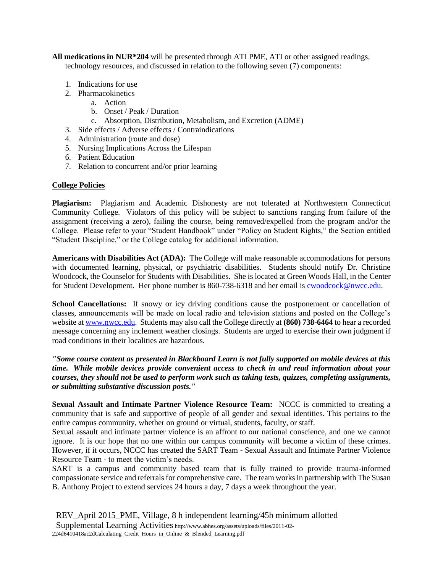**All medications in NUR\*204** will be presented through ATI PME, ATI or other assigned readings, technology resources, and discussed in relation to the following seven (7) components:

- 1. Indications for use
- 2. Pharmacokinetics
	- a. Action
	- b. Onset / Peak / Duration
	- c. Absorption, Distribution, Metabolism, and Excretion (ADME)
- 3. Side effects / Adverse effects / Contraindications
- 4. Administration (route and dose)
- 5. Nursing Implications Across the Lifespan
- 6. Patient Education
- 7. Relation to concurrent and/or prior learning

## **College Policies**

**Plagiarism:** Plagiarism and Academic Dishonesty are not tolerated at Northwestern Connecticut Community College. Violators of this policy will be subject to sanctions ranging from failure of the assignment (receiving a zero), failing the course, being removed/expelled from the program and/or the College. Please refer to your "Student Handbook" under "Policy on Student Rights," the Section entitled "Student Discipline," or the College catalog for additional information.

**Americans with Disabilities Act (ADA):** The College will make reasonable accommodations for persons with documented learning, physical, or psychiatric disabilities. Students should notify Dr. Christine Woodcock, the Counselor for Students with Disabilities. She is located at Green Woods Hall, in the Center for Student Development. Her phone number is 860-738-6318 and her email is **cwoodcock@nwcc.edu**.

**School Cancellations:** If snowy or icy driving conditions cause the postponement or cancellation of classes, announcements will be made on local radio and television stations and posted on the College's website at [www.nwcc.edu.](http://www.nwcc.edu/) Students may also call the College directly at **(860) 738-6464** to hear a recorded message concerning any inclement weather closings. Students are urged to exercise their own judgment if road conditions in their localities are hazardous.

*"Some course content as presented in Blackboard Learn is not fully supported on mobile devices at this time. While mobile devices provide convenient access to check in and read information about your courses, they should not be used to perform work such as taking tests, quizzes, completing assignments, or submitting substantive discussion posts."*

**Sexual Assault and Intimate Partner Violence Resource Team:** NCCC is committed to creating a community that is safe and supportive of people of all gender and sexual identities. This pertains to the entire campus community, whether on ground or virtual, students, faculty, or staff.

Sexual assault and intimate partner violence is an affront to our national conscience, and one we cannot ignore. It is our hope that no one within our campus community will become a victim of these crimes. However, if it occurs, NCCC has created the SART Team - Sexual Assault and Intimate Partner Violence Resource Team - to meet the victim's needs.

SART is a campus and community based team that is fully trained to provide trauma-informed compassionate service and referrals for comprehensive care. The team works in partnership with The Susan B. Anthony Project to extend services 24 hours a day, 7 days a week throughout the year.

REV\_April 2015\_PME, Village, 8 h independent learning/45h minimum allotted Supplemental Learning Activities http://www.abhes.org/assets/uploads/files/2011-02- 224d6410418ac2dCalculating\_Credit\_Hours\_in\_Online\_&\_Blended\_Learning.pdf